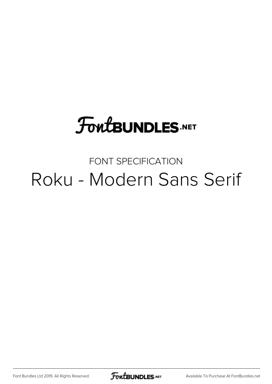## **FoutBUNDLES.NET**

### FONT SPECIFICATION Roku - Modern Sans Serif

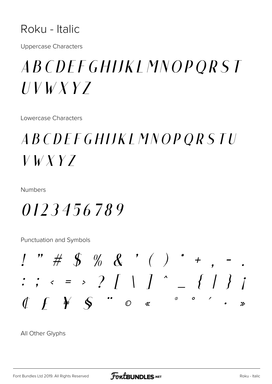#### Roku - Italic

**Uppercase Characters** 

## *ABCDEFGHIJKLMNOPORST*  $UVWXYZ$

Lowercase Characters

## *ABCDEFGHIJKLMNOPORSTU*  $V$   $V$   $X$   $Y$   $Z$

Numbers

0123456789

Punctuation and Symbols



All Other Glyphs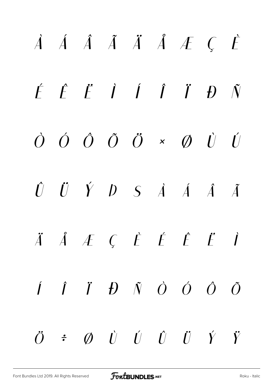# *À Á Â Ã Ä Å Æ Ç È É Ê Ë Ì Í Î Ï Ð Ñ Ò Ó Ô Õ Ö × Ø Ù Ú Û Ü Ý Þ ß à á â ã ä å æ ç è é ê ë ì í î ï ð ñ ò ó ô õ ö ÷ ø ù ú û ü ý ÿ*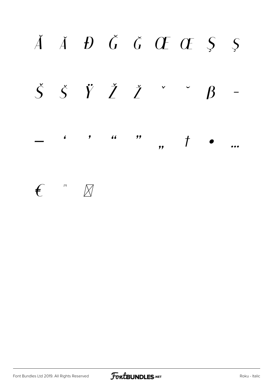

 $\mathbb{M}$  $\mathbf{f}$  $\boxtimes$ 

Font Bundles Ltd 2019. All Rights Reserved

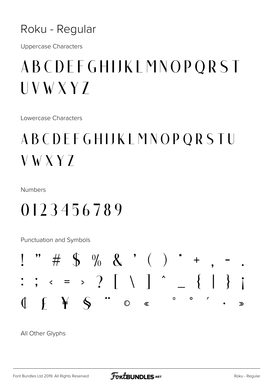#### Roku - Regular

**Uppercase Characters** 

## ABCDEFGHIJKLMNOPQRST  $UVWXYZ$

Lowercase Characters

## ABCDEFGHIJKLMNOPQRSTU  $V$  W X Y  $Z$

Numbers

## 0123456789

Punctuation and Symbols



All Other Glyphs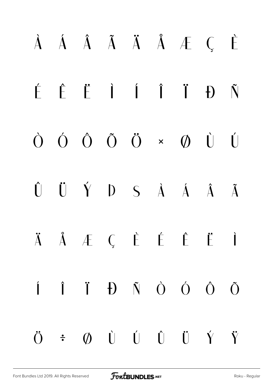# À Á Â Ã Ä Å Æ Ç È É Ê Ë Ì Í Î Ï Ð Ñ Ò Ó Ô Õ Ö × Ø Ù Ú Û Ü Ý Þ ß à á â ã Ä Å Æ Ç È É Ë Ë í î ï ð ñ ò ó ô õ ö ÷ ø ù ú û ü ý ÿ